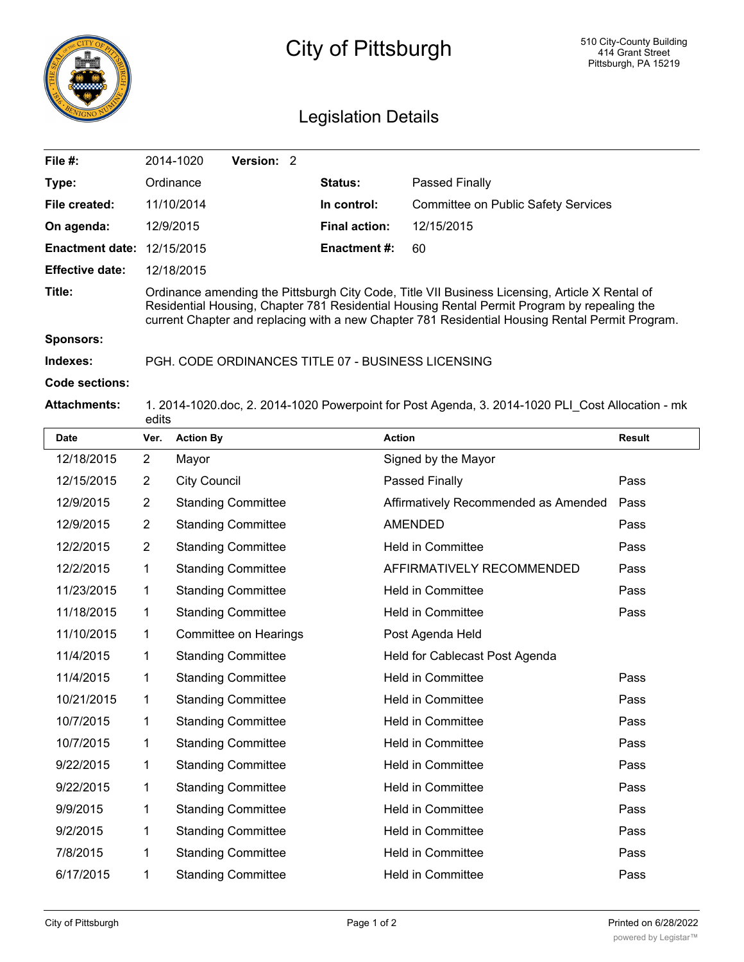

## City of Pittsburgh

## Legislation Details

| File #:                | 2014-1020                                                                                                                                                                                                                                                                                        | <b>Version: 2</b> |  |                      |                                                                                                  |               |
|------------------------|--------------------------------------------------------------------------------------------------------------------------------------------------------------------------------------------------------------------------------------------------------------------------------------------------|-------------------|--|----------------------|--------------------------------------------------------------------------------------------------|---------------|
| Type:                  | Ordinance                                                                                                                                                                                                                                                                                        |                   |  | <b>Status:</b>       | <b>Passed Finally</b>                                                                            |               |
| File created:          | 11/10/2014                                                                                                                                                                                                                                                                                       |                   |  | In control:          | Committee on Public Safety Services                                                              |               |
| On agenda:             | 12/9/2015                                                                                                                                                                                                                                                                                        |                   |  | <b>Final action:</b> | 12/15/2015                                                                                       |               |
| <b>Enactment date:</b> | 12/15/2015                                                                                                                                                                                                                                                                                       |                   |  | <b>Enactment #:</b>  | 60                                                                                               |               |
| <b>Effective date:</b> | 12/18/2015                                                                                                                                                                                                                                                                                       |                   |  |                      |                                                                                                  |               |
| Title:                 | Ordinance amending the Pittsburgh City Code, Title VII Business Licensing, Article X Rental of<br>Residential Housing, Chapter 781 Residential Housing Rental Permit Program by repealing the<br>current Chapter and replacing with a new Chapter 781 Residential Housing Rental Permit Program. |                   |  |                      |                                                                                                  |               |
| <b>Sponsors:</b>       |                                                                                                                                                                                                                                                                                                  |                   |  |                      |                                                                                                  |               |
| Indexes:               | PGH, CODE ORDINANCES TITLE 07 - BUSINESS LICENSING                                                                                                                                                                                                                                               |                   |  |                      |                                                                                                  |               |
| Code sections:         |                                                                                                                                                                                                                                                                                                  |                   |  |                      |                                                                                                  |               |
| <b>Attachments:</b>    | edits                                                                                                                                                                                                                                                                                            |                   |  |                      | 1. 2014-1020.doc, 2. 2014-1020 Powerpoint for Post Agenda, 3. 2014-1020 PLI Cost Allocation - mk |               |
| <b>Date</b>            | <b>Action By</b><br>Ver.                                                                                                                                                                                                                                                                         |                   |  | <b>Action</b>        |                                                                                                  | <b>Result</b> |

| <b>Date</b> | Ver.           | <b>Action By</b>          | <b>Action</b>                        | <b>Result</b> |
|-------------|----------------|---------------------------|--------------------------------------|---------------|
| 12/18/2015  | $\overline{2}$ | Mayor                     | Signed by the Mayor                  |               |
| 12/15/2015  | $\overline{2}$ | <b>City Council</b>       | Passed Finally                       | Pass          |
| 12/9/2015   | $\overline{2}$ | <b>Standing Committee</b> | Affirmatively Recommended as Amended | Pass          |
| 12/9/2015   | $\overline{2}$ | <b>Standing Committee</b> | <b>AMENDED</b>                       | Pass          |
| 12/2/2015   | $\overline{2}$ | <b>Standing Committee</b> | <b>Held in Committee</b>             | Pass          |
| 12/2/2015   | 1              | <b>Standing Committee</b> | AFFIRMATIVELY RECOMMENDED            | Pass          |
| 11/23/2015  | 1              | <b>Standing Committee</b> | <b>Held in Committee</b>             | Pass          |
| 11/18/2015  | 1              | <b>Standing Committee</b> | Held in Committee                    | Pass          |
| 11/10/2015  | 1              | Committee on Hearings     | Post Agenda Held                     |               |
| 11/4/2015   | 1              | <b>Standing Committee</b> | Held for Cablecast Post Agenda       |               |
| 11/4/2015   | 1              | <b>Standing Committee</b> | <b>Held in Committee</b>             | Pass          |
| 10/21/2015  | 1              | <b>Standing Committee</b> | Held in Committee                    | Pass          |
| 10/7/2015   | 1              | <b>Standing Committee</b> | <b>Held in Committee</b>             | Pass          |
| 10/7/2015   | 1              | <b>Standing Committee</b> | Held in Committee                    | Pass          |
| 9/22/2015   | 1              | <b>Standing Committee</b> | Held in Committee                    | Pass          |
| 9/22/2015   | 1              | <b>Standing Committee</b> | Held in Committee                    | Pass          |
| 9/9/2015    | 1              | <b>Standing Committee</b> | <b>Held in Committee</b>             | Pass          |
| 9/2/2015    | 1              | <b>Standing Committee</b> | <b>Held in Committee</b>             | Pass          |
| 7/8/2015    | 1              | <b>Standing Committee</b> | Held in Committee                    | Pass          |
| 6/17/2015   | 1              | <b>Standing Committee</b> | <b>Held in Committee</b>             | Pass          |
|             |                |                           |                                      |               |